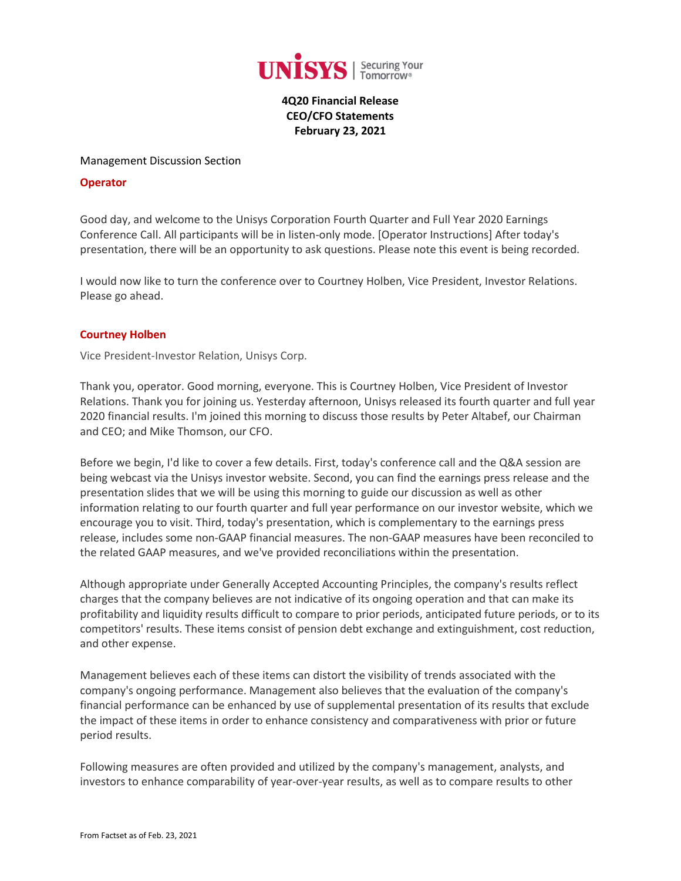

**4Q20 Financial Release CEO/CFO Statements February 23, 2021**

#### Management Discussion Section

### **Operator**

Good day, and welcome to the Unisys Corporation Fourth Quarter and Full Year 2020 Earnings Conference Call. All participants will be in listen-only mode. [Operator Instructions] After today's presentation, there will be an opportunity to ask questions. Please note this event is being recorded.

I would now like to turn the conference over to Courtney Holben, Vice President, Investor Relations. Please go ahead.

### **[Courtney Holben](javascript:void(0);)**

Vice President-Investor Relation, Unisys Corp.

Thank you, operator. Good morning, everyone. This is Courtney Holben, Vice President of Investor Relations. Thank you for joining us. Yesterday afternoon, Unisys released its fourth quarter and full year 2020 financial results. I'm joined this morning to discuss those results by Peter Altabef, our Chairman and CEO; and Mike Thomson, our CFO.

Before we begin, I'd like to cover a few details. First, today's conference call and the Q&A session are being webcast via the Unisys investor website. Second, you can find the earnings press release and the presentation slides that we will be using this morning to guide our discussion as well as other information relating to our fourth quarter and full year performance on our investor website, which we encourage you to visit. Third, today's presentation, which is complementary to the earnings press release, includes some non-GAAP financial measures. The non-GAAP measures have been reconciled to the related GAAP measures, and we've provided reconciliations within the presentation.

Although appropriate under Generally Accepted Accounting Principles, the company's results reflect charges that the company believes are not indicative of its ongoing operation and that can make its profitability and liquidity results difficult to compare to prior periods, anticipated future periods, or to its competitors' results. These items consist of pension debt exchange and extinguishment, cost reduction, and other expense.

Management believes each of these items can distort the visibility of trends associated with the company's ongoing performance. Management also believes that the evaluation of the company's financial performance can be enhanced by use of supplemental presentation of its results that exclude the impact of these items in order to enhance consistency and comparativeness with prior or future period results.

Following measures are often provided and utilized by the company's management, analysts, and investors to enhance comparability of year-over-year results, as well as to compare results to other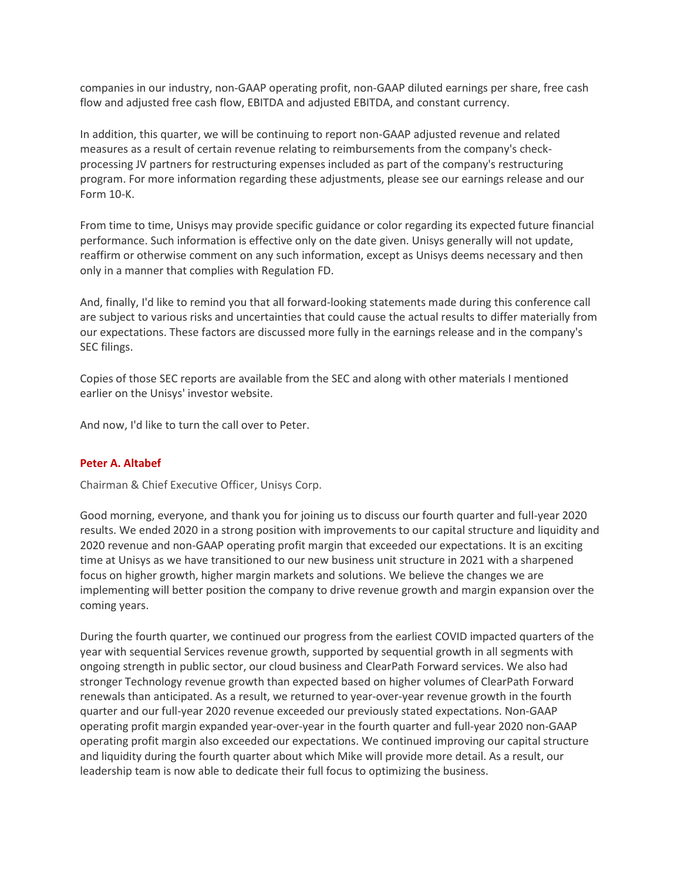companies in our industry, non-GAAP operating profit, non-GAAP diluted earnings per share, free cash flow and adjusted free cash flow, EBITDA and adjusted EBITDA, and constant currency.

In addition, this quarter, we will be continuing to report non-GAAP adjusted revenue and related measures as a result of certain revenue relating to reimbursements from the company's checkprocessing JV partners for restructuring expenses included as part of the company's restructuring program. For more information regarding these adjustments, please see our earnings release and our Form 10-K.

From time to time, Unisys may provide specific guidance or color regarding its expected future financial performance. Such information is effective only on the date given. Unisys generally will not update, reaffirm or otherwise comment on any such information, except as Unisys deems necessary and then only in a manner that complies with Regulation FD.

And, finally, I'd like to remind you that all forward-looking statements made during this conference call are subject to various risks and uncertainties that could cause the actual results to differ materially from our expectations. These factors are discussed more fully in the earnings release and in the company's SEC filings.

Copies of those SEC reports are available from the SEC and along with other materials I mentioned earlier on the Unisys' investor website.

And now, I'd like to turn the call over to Peter.

#### **[Peter A. Altabef](javascript:void(0);)**

Chairman & Chief Executive Officer, Unisys Corp.

Good morning, everyone, and thank you for joining us to discuss our fourth quarter and full-year 2020 results. We ended 2020 in a strong position with improvements to our capital structure and liquidity and 2020 revenue and non-GAAP operating profit margin that exceeded our expectations. It is an exciting time at Unisys as we have transitioned to our new business unit structure in 2021 with a sharpened focus on higher growth, higher margin markets and solutions. We believe the changes we are implementing will better position the company to drive revenue growth and margin expansion over the coming years.

During the fourth quarter, we continued our progress from the earliest COVID impacted quarters of the year with sequential Services revenue growth, supported by sequential growth in all segments with ongoing strength in public sector, our cloud business and ClearPath Forward services. We also had stronger Technology revenue growth than expected based on higher volumes of ClearPath Forward renewals than anticipated. As a result, we returned to year-over-year revenue growth in the fourth quarter and our full-year 2020 revenue exceeded our previously stated expectations. Non-GAAP operating profit margin expanded year-over-year in the fourth quarter and full-year 2020 non-GAAP operating profit margin also exceeded our expectations. We continued improving our capital structure and liquidity during the fourth quarter about which Mike will provide more detail. As a result, our leadership team is now able to dedicate their full focus to optimizing the business.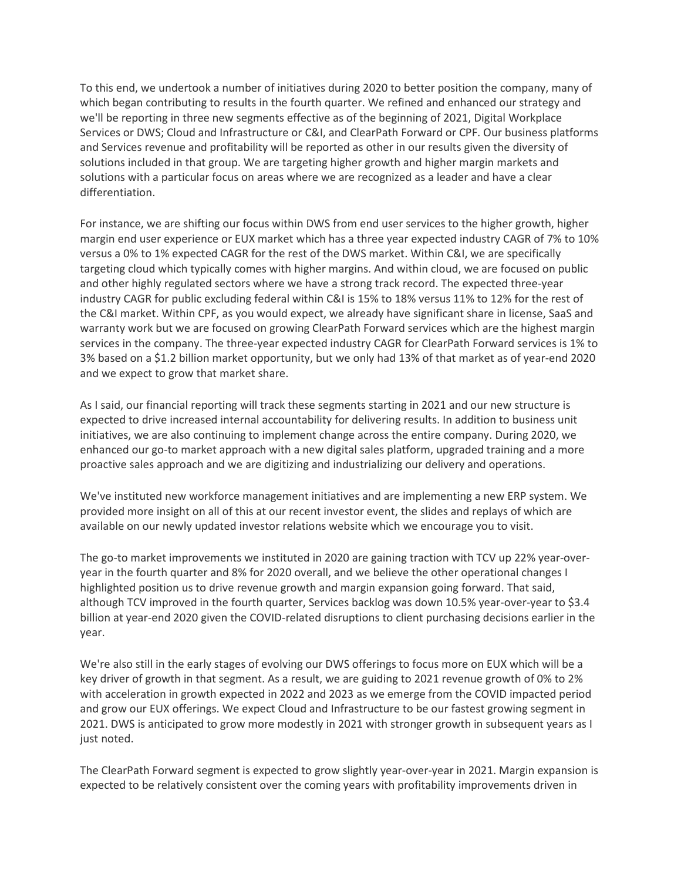To this end, we undertook a number of initiatives during 2020 to better position the company, many of which began contributing to results in the fourth quarter. We refined and enhanced our strategy and we'll be reporting in three new segments effective as of the beginning of 2021, Digital Workplace Services or DWS; Cloud and Infrastructure or C&I, and ClearPath Forward or CPF. Our business platforms and Services revenue and profitability will be reported as other in our results given the diversity of solutions included in that group. We are targeting higher growth and higher margin markets and solutions with a particular focus on areas where we are recognized as a leader and have a clear differentiation.

For instance, we are shifting our focus within DWS from end user services to the higher growth, higher margin end user experience or EUX market which has a three year expected industry CAGR of 7% to 10% versus a 0% to 1% expected CAGR for the rest of the DWS market. Within C&I, we are specifically targeting cloud which typically comes with higher margins. And within cloud, we are focused on public and other highly regulated sectors where we have a strong track record. The expected three-year industry CAGR for public excluding federal within C&I is 15% to 18% versus 11% to 12% for the rest of the C&I market. Within CPF, as you would expect, we already have significant share in license, SaaS and warranty work but we are focused on growing ClearPath Forward services which are the highest margin services in the company. The three-year expected industry CAGR for ClearPath Forward services is 1% to 3% based on a \$1.2 billion market opportunity, but we only had 13% of that market as of year-end 2020 and we expect to grow that market share.

As I said, our financial reporting will track these segments starting in 2021 and our new structure is expected to drive increased internal accountability for delivering results. In addition to business unit initiatives, we are also continuing to implement change across the entire company. During 2020, we enhanced our go-to market approach with a new digital sales platform, upgraded training and a more proactive sales approach and we are digitizing and industrializing our delivery and operations.

We've instituted new workforce management initiatives and are implementing a new ERP system. We provided more insight on all of this at our recent investor event, the slides and replays of which are available on our newly updated investor relations website which we encourage you to visit.

The go-to market improvements we instituted in 2020 are gaining traction with TCV up 22% year-overyear in the fourth quarter and 8% for 2020 overall, and we believe the other operational changes I highlighted position us to drive revenue growth and margin expansion going forward. That said, although TCV improved in the fourth quarter, Services backlog was down 10.5% year-over-year to \$3.4 billion at year-end 2020 given the COVID-related disruptions to client purchasing decisions earlier in the year.

We're also still in the early stages of evolving our DWS offerings to focus more on EUX which will be a key driver of growth in that segment. As a result, we are guiding to 2021 revenue growth of 0% to 2% with acceleration in growth expected in 2022 and 2023 as we emerge from the COVID impacted period and grow our EUX offerings. We expect Cloud and Infrastructure to be our fastest growing segment in 2021. DWS is anticipated to grow more modestly in 2021 with stronger growth in subsequent years as I just noted.

The ClearPath Forward segment is expected to grow slightly year-over-year in 2021. Margin expansion is expected to be relatively consistent over the coming years with profitability improvements driven in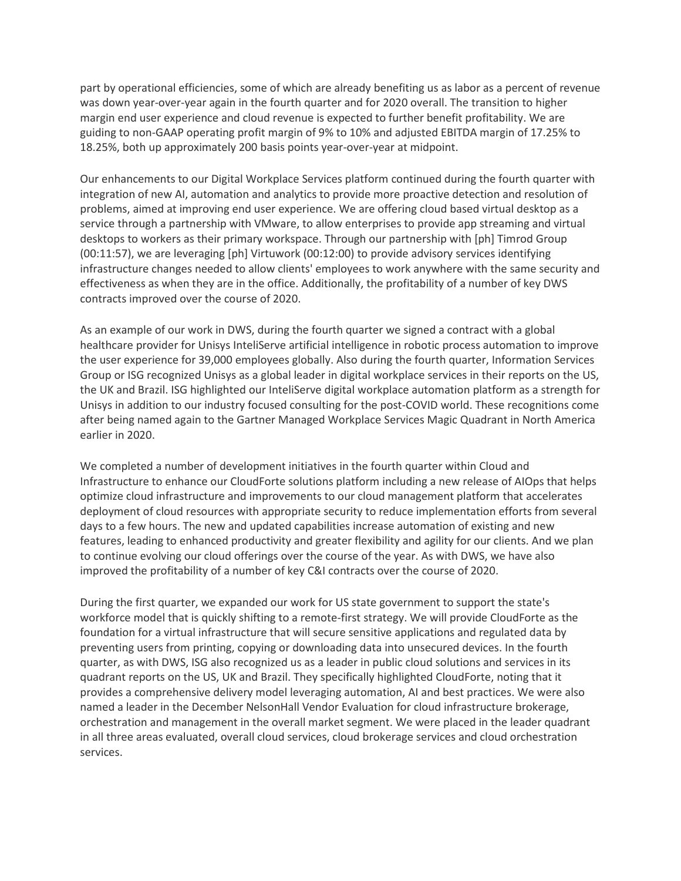part by operational efficiencies, some of which are already benefiting us as labor as a percent of revenue was down year-over-year again in the fourth quarter and for 2020 overall. The transition to higher margin end user experience and cloud revenue is expected to further benefit profitability. We are guiding to non-GAAP operating profit margin of 9% to 10% and adjusted EBITDA margin of 17.25% to 18.25%, both up approximately 200 basis points year-over-year at midpoint.

Our enhancements to our Digital Workplace Services platform continued during the fourth quarter with integration of new AI, automation and analytics to provide more proactive detection and resolution of problems, aimed at improving end user experience. We are offering cloud based virtual desktop as a service through a partnership with VMware, to allow enterprises to provide app streaming and virtual desktops to workers as their primary workspace. Through our partnership with [ph] Timrod Group (00:11:57), we are leveraging [ph] Virtuwork (00:12:00) to provide advisory services identifying infrastructure changes needed to allow clients' employees to work anywhere with the same security and effectiveness as when they are in the office. Additionally, the profitability of a number of key DWS contracts improved over the course of 2020.

As an example of our work in DWS, during the fourth quarter we signed a contract with a global healthcare provider for Unisys InteliServe artificial intelligence in robotic process automation to improve the user experience for 39,000 employees globally. Also during the fourth quarter, Information Services Group or ISG recognized Unisys as a global leader in digital workplace services in their reports on the US, the UK and Brazil. ISG highlighted our InteliServe digital workplace automation platform as a strength for Unisys in addition to our industry focused consulting for the post-COVID world. These recognitions come after being named again to the Gartner Managed Workplace Services Magic Quadrant in North America earlier in 2020.

We completed a number of development initiatives in the fourth quarter within Cloud and Infrastructure to enhance our CloudForte solutions platform including a new release of AIOps that helps optimize cloud infrastructure and improvements to our cloud management platform that accelerates deployment of cloud resources with appropriate security to reduce implementation efforts from several days to a few hours. The new and updated capabilities increase automation of existing and new features, leading to enhanced productivity and greater flexibility and agility for our clients. And we plan to continue evolving our cloud offerings over the course of the year. As with DWS, we have also improved the profitability of a number of key C&I contracts over the course of 2020.

During the first quarter, we expanded our work for US state government to support the state's workforce model that is quickly shifting to a remote-first strategy. We will provide CloudForte as the foundation for a virtual infrastructure that will secure sensitive applications and regulated data by preventing users from printing, copying or downloading data into unsecured devices. In the fourth quarter, as with DWS, ISG also recognized us as a leader in public cloud solutions and services in its quadrant reports on the US, UK and Brazil. They specifically highlighted CloudForte, noting that it provides a comprehensive delivery model leveraging automation, AI and best practices. We were also named a leader in the December NelsonHall Vendor Evaluation for cloud infrastructure brokerage, orchestration and management in the overall market segment. We were placed in the leader quadrant in all three areas evaluated, overall cloud services, cloud brokerage services and cloud orchestration services.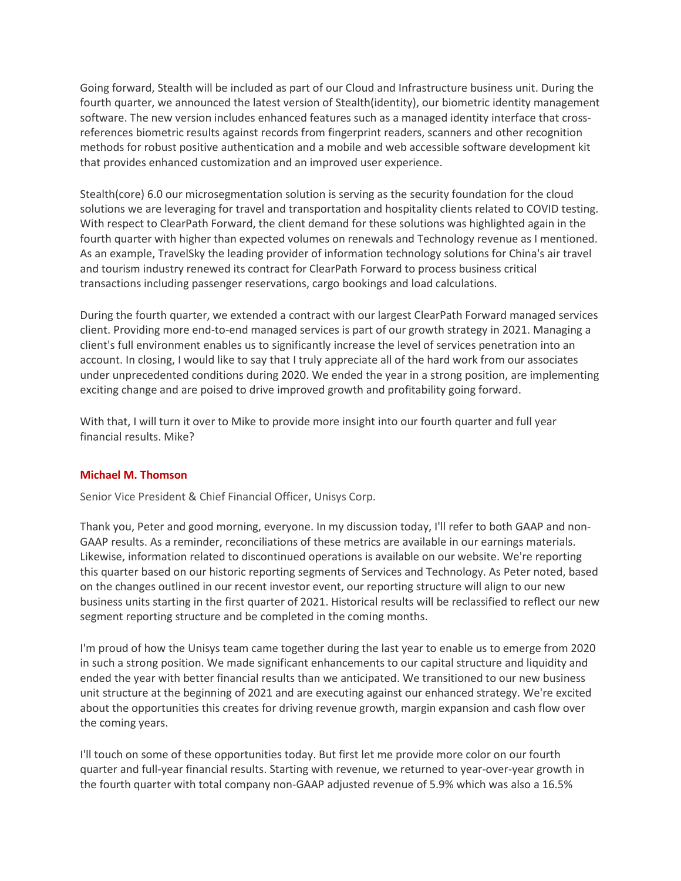Going forward, Stealth will be included as part of our Cloud and Infrastructure business unit. During the fourth quarter, we announced the latest version of Stealth(identity), our biometric identity management software. The new version includes enhanced features such as a managed identity interface that crossreferences biometric results against records from fingerprint readers, scanners and other recognition methods for robust positive authentication and a mobile and web accessible software development kit that provides enhanced customization and an improved user experience.

Stealth(core) 6.0 our microsegmentation solution is serving as the security foundation for the cloud solutions we are leveraging for travel and transportation and hospitality clients related to COVID testing. With respect to ClearPath Forward, the client demand for these solutions was highlighted again in the fourth quarter with higher than expected volumes on renewals and Technology revenue as I mentioned. As an example, TravelSky the leading provider of information technology solutions for China's air travel and tourism industry renewed its contract for ClearPath Forward to process business critical transactions including passenger reservations, cargo bookings and load calculations.

During the fourth quarter, we extended a contract with our largest ClearPath Forward managed services client. Providing more end-to-end managed services is part of our growth strategy in 2021. Managing a client's full environment enables us to significantly increase the level of services penetration into an account. In closing, I would like to say that I truly appreciate all of the hard work from our associates under unprecedented conditions during 2020. We ended the year in a strong position, are implementing exciting change and are poised to drive improved growth and profitability going forward.

With that, I will turn it over to Mike to provide more insight into our fourth quarter and full year financial results. Mike?

## **[Michael M. Thomson](javascript:void(0);)**

Senior Vice President & Chief Financial Officer, Unisys Corp.

Thank you, Peter and good morning, everyone. In my discussion today, I'll refer to both GAAP and non-GAAP results. As a reminder, reconciliations of these metrics are available in our earnings materials. Likewise, information related to discontinued operations is available on our website. We're reporting this quarter based on our historic reporting segments of Services and Technology. As Peter noted, based on the changes outlined in our recent investor event, our reporting structure will align to our new business units starting in the first quarter of 2021. Historical results will be reclassified to reflect our new segment reporting structure and be completed in the coming months.

I'm proud of how the Unisys team came together during the last year to enable us to emerge from 2020 in such a strong position. We made significant enhancements to our capital structure and liquidity and ended the year with better financial results than we anticipated. We transitioned to our new business unit structure at the beginning of 2021 and are executing against our enhanced strategy. We're excited about the opportunities this creates for driving revenue growth, margin expansion and cash flow over the coming years.

I'll touch on some of these opportunities today. But first let me provide more color on our fourth quarter and full-year financial results. Starting with revenue, we returned to year-over-year growth in the fourth quarter with total company non-GAAP adjusted revenue of 5.9% which was also a 16.5%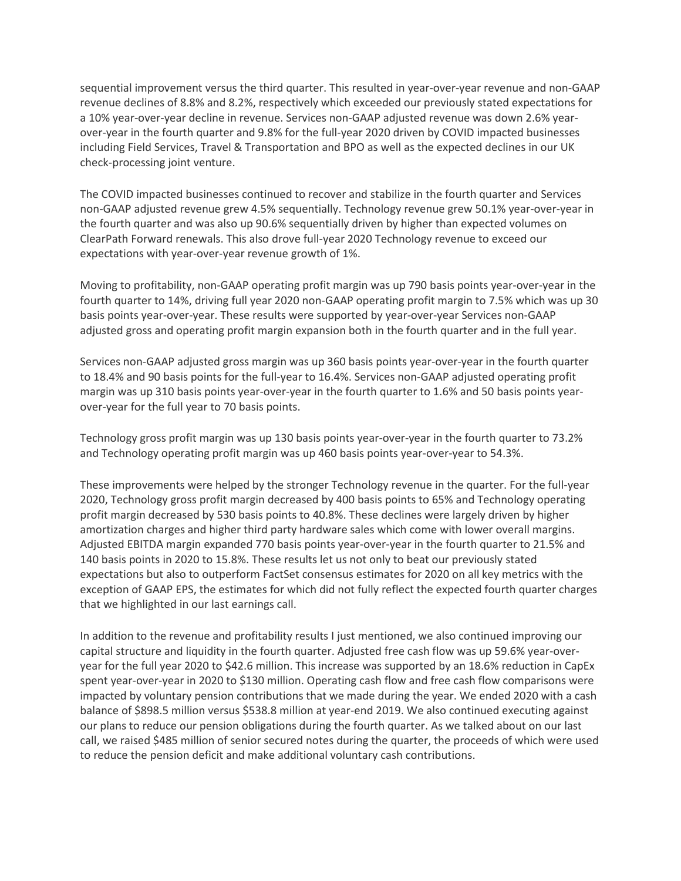sequential improvement versus the third quarter. This resulted in year-over-year revenue and non-GAAP revenue declines of 8.8% and 8.2%, respectively which exceeded our previously stated expectations for a 10% year-over-year decline in revenue. Services non-GAAP adjusted revenue was down 2.6% yearover-year in the fourth quarter and 9.8% for the full-year 2020 driven by COVID impacted businesses including Field Services, Travel & Transportation and BPO as well as the expected declines in our UK check-processing joint venture.

The COVID impacted businesses continued to recover and stabilize in the fourth quarter and Services non-GAAP adjusted revenue grew 4.5% sequentially. Technology revenue grew 50.1% year-over-year in the fourth quarter and was also up 90.6% sequentially driven by higher than expected volumes on ClearPath Forward renewals. This also drove full-year 2020 Technology revenue to exceed our expectations with year-over-year revenue growth of 1%.

Moving to profitability, non-GAAP operating profit margin was up 790 basis points year-over-year in the fourth quarter to 14%, driving full year 2020 non-GAAP operating profit margin to 7.5% which was up 30 basis points year-over-year. These results were supported by year-over-year Services non-GAAP adjusted gross and operating profit margin expansion both in the fourth quarter and in the full year.

Services non-GAAP adjusted gross margin was up 360 basis points year-over-year in the fourth quarter to 18.4% and 90 basis points for the full-year to 16.4%. Services non-GAAP adjusted operating profit margin was up 310 basis points year-over-year in the fourth quarter to 1.6% and 50 basis points yearover-year for the full year to 70 basis points.

Technology gross profit margin was up 130 basis points year-over-year in the fourth quarter to 73.2% and Technology operating profit margin was up 460 basis points year-over-year to 54.3%.

These improvements were helped by the stronger Technology revenue in the quarter. For the full-year 2020, Technology gross profit margin decreased by 400 basis points to 65% and Technology operating profit margin decreased by 530 basis points to 40.8%. These declines were largely driven by higher amortization charges and higher third party hardware sales which come with lower overall margins. Adjusted EBITDA margin expanded 770 basis points year-over-year in the fourth quarter to 21.5% and 140 basis points in 2020 to 15.8%. These results let us not only to beat our previously stated expectations but also to outperform FactSet consensus estimates for 2020 on all key metrics with the exception of GAAP EPS, the estimates for which did not fully reflect the expected fourth quarter charges that we highlighted in our last earnings call.

In addition to the revenue and profitability results I just mentioned, we also continued improving our capital structure and liquidity in the fourth quarter. Adjusted free cash flow was up 59.6% year-overyear for the full year 2020 to \$42.6 million. This increase was supported by an 18.6% reduction in CapEx spent year-over-year in 2020 to \$130 million. Operating cash flow and free cash flow comparisons were impacted by voluntary pension contributions that we made during the year. We ended 2020 with a cash balance of \$898.5 million versus \$538.8 million at year-end 2019. We also continued executing against our plans to reduce our pension obligations during the fourth quarter. As we talked about on our last call, we raised \$485 million of senior secured notes during the quarter, the proceeds of which were used to reduce the pension deficit and make additional voluntary cash contributions.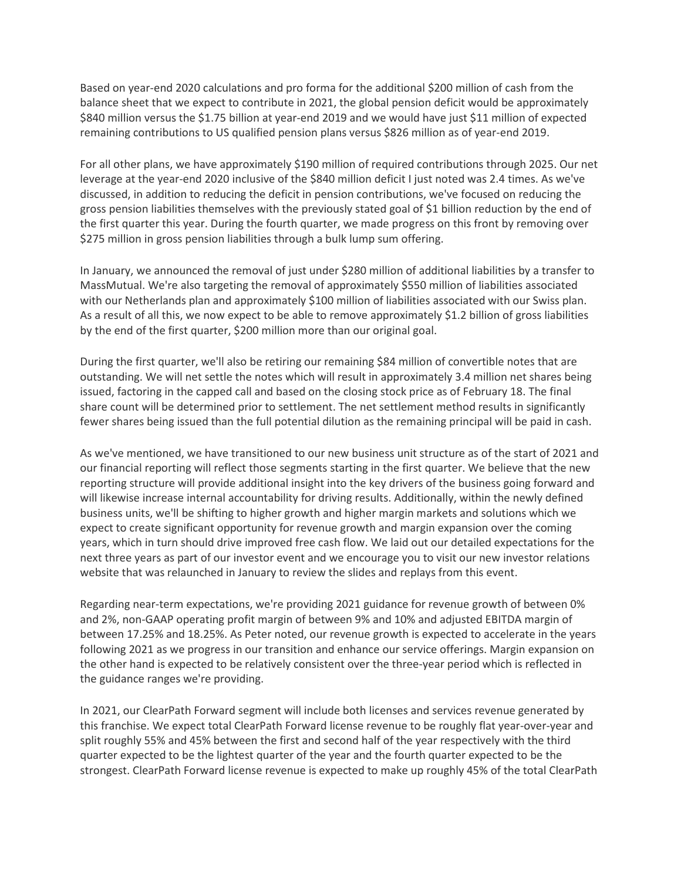Based on year-end 2020 calculations and pro forma for the additional \$200 million of cash from the balance sheet that we expect to contribute in 2021, the global pension deficit would be approximately \$840 million versus the \$1.75 billion at year-end 2019 and we would have just \$11 million of expected remaining contributions to US qualified pension plans versus \$826 million as of year-end 2019.

For all other plans, we have approximately \$190 million of required contributions through 2025. Our net leverage at the year-end 2020 inclusive of the \$840 million deficit I just noted was 2.4 times. As we've discussed, in addition to reducing the deficit in pension contributions, we've focused on reducing the gross pension liabilities themselves with the previously stated goal of \$1 billion reduction by the end of the first quarter this year. During the fourth quarter, we made progress on this front by removing over \$275 million in gross pension liabilities through a bulk lump sum offering.

In January, we announced the removal of just under \$280 million of additional liabilities by a transfer to MassMutual. We're also targeting the removal of approximately \$550 million of liabilities associated with our Netherlands plan and approximately \$100 million of liabilities associated with our Swiss plan. As a result of all this, we now expect to be able to remove approximately \$1.2 billion of gross liabilities by the end of the first quarter, \$200 million more than our original goal.

During the first quarter, we'll also be retiring our remaining \$84 million of convertible notes that are outstanding. We will net settle the notes which will result in approximately 3.4 million net shares being issued, factoring in the capped call and based on the closing stock price as of February 18. The final share count will be determined prior to settlement. The net settlement method results in significantly fewer shares being issued than the full potential dilution as the remaining principal will be paid in cash.

As we've mentioned, we have transitioned to our new business unit structure as of the start of 2021 and our financial reporting will reflect those segments starting in the first quarter. We believe that the new reporting structure will provide additional insight into the key drivers of the business going forward and will likewise increase internal accountability for driving results. Additionally, within the newly defined business units, we'll be shifting to higher growth and higher margin markets and solutions which we expect to create significant opportunity for revenue growth and margin expansion over the coming years, which in turn should drive improved free cash flow. We laid out our detailed expectations for the next three years as part of our investor event and we encourage you to visit our new investor relations website that was relaunched in January to review the slides and replays from this event.

Regarding near-term expectations, we're providing 2021 guidance for revenue growth of between 0% and 2%, non-GAAP operating profit margin of between 9% and 10% and adjusted EBITDA margin of between 17.25% and 18.25%. As Peter noted, our revenue growth is expected to accelerate in the years following 2021 as we progress in our transition and enhance our service offerings. Margin expansion on the other hand is expected to be relatively consistent over the three-year period which is reflected in the guidance ranges we're providing.

In 2021, our ClearPath Forward segment will include both licenses and services revenue generated by this franchise. We expect total ClearPath Forward license revenue to be roughly flat year-over-year and split roughly 55% and 45% between the first and second half of the year respectively with the third quarter expected to be the lightest quarter of the year and the fourth quarter expected to be the strongest. ClearPath Forward license revenue is expected to make up roughly 45% of the total ClearPath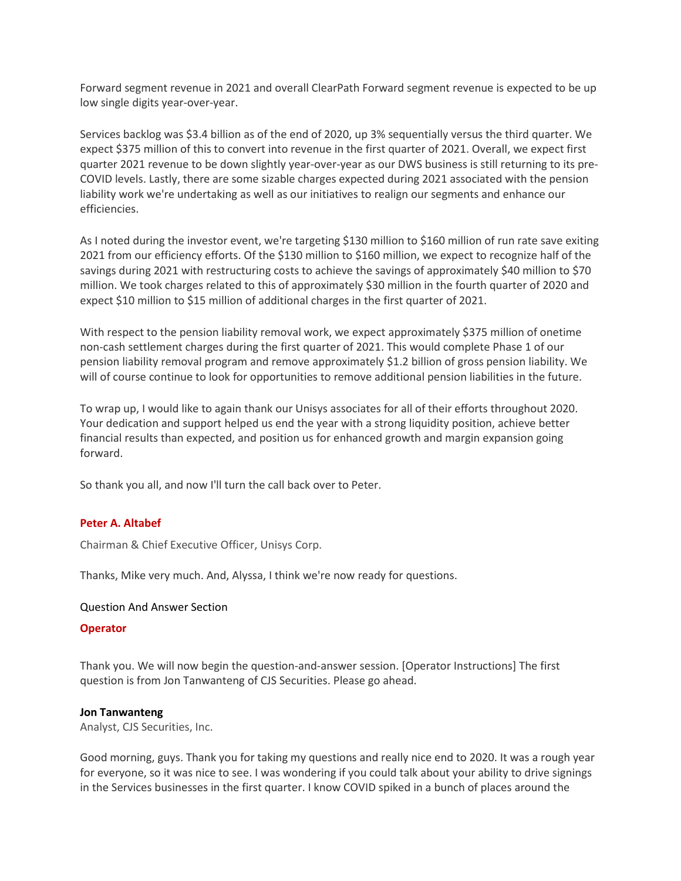Forward segment revenue in 2021 and overall ClearPath Forward segment revenue is expected to be up low single digits year-over-year.

Services backlog was \$3.4 billion as of the end of 2020, up 3% sequentially versus the third quarter. We expect \$375 million of this to convert into revenue in the first quarter of 2021. Overall, we expect first quarter 2021 revenue to be down slightly year-over-year as our DWS business is still returning to its pre-COVID levels. Lastly, there are some sizable charges expected during 2021 associated with the pension liability work we're undertaking as well as our initiatives to realign our segments and enhance our efficiencies.

As I noted during the investor event, we're targeting \$130 million to \$160 million of run rate save exiting 2021 from our efficiency efforts. Of the \$130 million to \$160 million, we expect to recognize half of the savings during 2021 with restructuring costs to achieve the savings of approximately \$40 million to \$70 million. We took charges related to this of approximately \$30 million in the fourth quarter of 2020 and expect \$10 million to \$15 million of additional charges in the first quarter of 2021.

With respect to the pension liability removal work, we expect approximately \$375 million of onetime non-cash settlement charges during the first quarter of 2021. This would complete Phase 1 of our pension liability removal program and remove approximately \$1.2 billion of gross pension liability. We will of course continue to look for opportunities to remove additional pension liabilities in the future.

To wrap up, I would like to again thank our Unisys associates for all of their efforts throughout 2020. Your dedication and support helped us end the year with a strong liquidity position, achieve better financial results than expected, and position us for enhanced growth and margin expansion going forward.

So thank you all, and now I'll turn the call back over to Peter.

## **[Peter A. Altabef](javascript:void(0);)**

Chairman & Chief Executive Officer, Unisys Corp.

Thanks, Mike very much. And, Alyssa, I think we're now ready for questions.

#### Question And Answer Section

#### **Operator**

Thank you. We will now begin the question-and-answer session. [Operator Instructions] The first question is from Jon Tanwanteng of CJS Securities. Please go ahead.

#### **[Jon Tanwanteng](javascript:void(0);)**

Analyst, CJS Securities, Inc.

Good morning, guys. Thank you for taking my questions and really nice end to 2020. It was a rough year for everyone, so it was nice to see. I was wondering if you could talk about your ability to drive signings in the Services businesses in the first quarter. I know COVID spiked in a bunch of places around the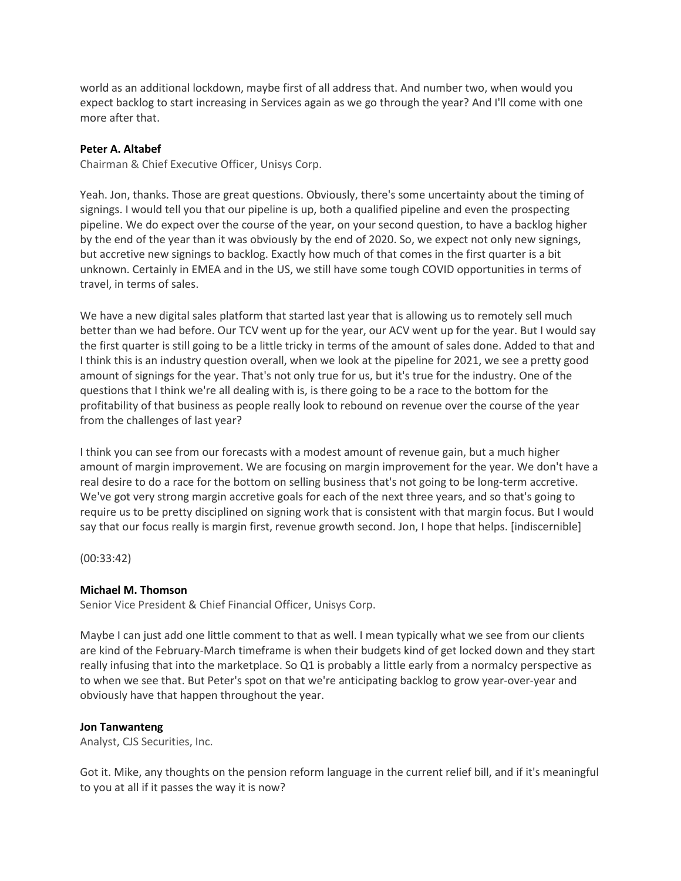world as an additional lockdown, maybe first of all address that. And number two, when would you expect backlog to start increasing in Services again as we go through the year? And I'll come with one more after that.

### **[Peter A. Altabef](javascript:void(0);)**

Chairman & Chief Executive Officer, Unisys Corp.

Yeah. Jon, thanks. Those are great questions. Obviously, there's some uncertainty about the timing of signings. I would tell you that our pipeline is up, both a qualified pipeline and even the prospecting pipeline. We do expect over the course of the year, on your second question, to have a backlog higher by the end of the year than it was obviously by the end of 2020. So, we expect not only new signings, but accretive new signings to backlog. Exactly how much of that comes in the first quarter is a bit unknown. Certainly in EMEA and in the US, we still have some tough COVID opportunities in terms of travel, in terms of sales.

We have a new digital sales platform that started last year that is allowing us to remotely sell much better than we had before. Our TCV went up for the year, our ACV went up for the year. But I would say the first quarter is still going to be a little tricky in terms of the amount of sales done. Added to that and I think this is an industry question overall, when we look at the pipeline for 2021, we see a pretty good amount of signings for the year. That's not only true for us, but it's true for the industry. One of the questions that I think we're all dealing with is, is there going to be a race to the bottom for the profitability of that business as people really look to rebound on revenue over the course of the year from the challenges of last year?

I think you can see from our forecasts with a modest amount of revenue gain, but a much higher amount of margin improvement. We are focusing on margin improvement for the year. We don't have a real desire to do a race for the bottom on selling business that's not going to be long-term accretive. We've got very strong margin accretive goals for each of the next three years, and so that's going to require us to be pretty disciplined on signing work that is consistent with that margin focus. But I would say that our focus really is margin first, revenue growth second. Jon, I hope that helps. [indiscernible]

(00:33:42)

#### **[Michael M. Thomson](javascript:void(0);)**

Senior Vice President & Chief Financial Officer, Unisys Corp.

Maybe I can just add one little comment to that as well. I mean typically what we see from our clients are kind of the February-March timeframe is when their budgets kind of get locked down and they start really infusing that into the marketplace. So Q1 is probably a little early from a normalcy perspective as to when we see that. But Peter's spot on that we're anticipating backlog to grow year-over-year and obviously have that happen throughout the year.

#### **[Jon Tanwanteng](javascript:void(0);)**

Analyst, CJS Securities, Inc.

Got it. Mike, any thoughts on the pension reform language in the current relief bill, and if it's meaningful to you at all if it passes the way it is now?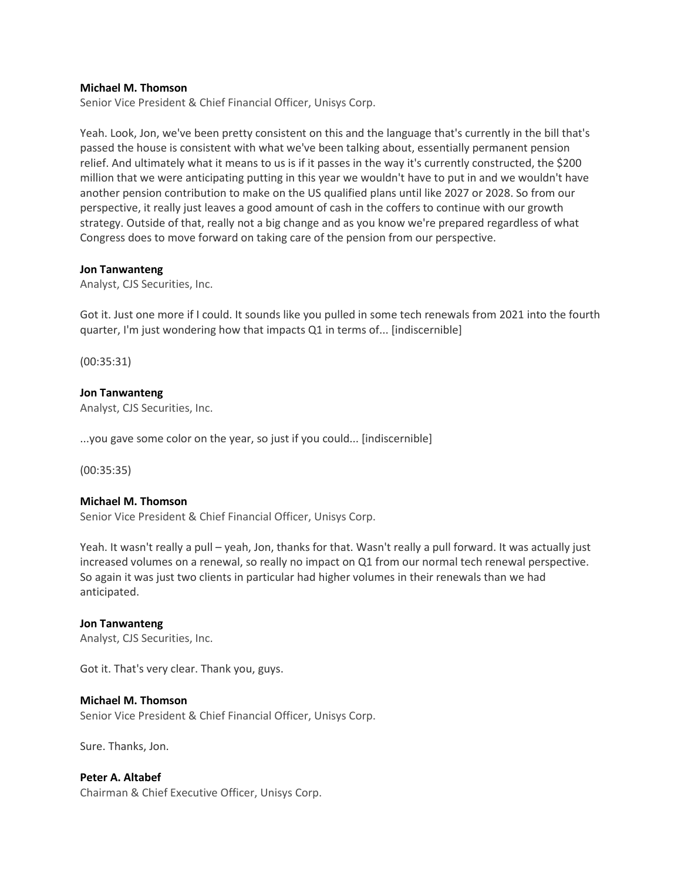#### **[Michael M. Thomson](javascript:void(0);)**

Senior Vice President & Chief Financial Officer, Unisys Corp.

Yeah. Look, Jon, we've been pretty consistent on this and the language that's currently in the bill that's passed the house is consistent with what we've been talking about, essentially permanent pension relief. And ultimately what it means to us is if it passes in the way it's currently constructed, the \$200 million that we were anticipating putting in this year we wouldn't have to put in and we wouldn't have another pension contribution to make on the US qualified plans until like 2027 or 2028. So from our perspective, it really just leaves a good amount of cash in the coffers to continue with our growth strategy. Outside of that, really not a big change and as you know we're prepared regardless of what Congress does to move forward on taking care of the pension from our perspective.

#### **[Jon Tanwanteng](javascript:void(0);)**

Analyst, CJS Securities, Inc.

Got it. Just one more if I could. It sounds like you pulled in some tech renewals from 2021 into the fourth quarter, I'm just wondering how that impacts Q1 in terms of... [indiscernible]

(00:35:31)

### **[Jon Tanwanteng](javascript:void(0);)**

Analyst, CJS Securities, Inc.

...you gave some color on the year, so just if you could... [indiscernible]

(00:35:35)

## **[Michael M. Thomson](javascript:void(0);)**

Senior Vice President & Chief Financial Officer, Unisys Corp.

Yeah. It wasn't really a pull – yeah, Jon, thanks for that. Wasn't really a pull forward. It was actually just increased volumes on a renewal, so really no impact on Q1 from our normal tech renewal perspective. So again it was just two clients in particular had higher volumes in their renewals than we had anticipated.

#### **[Jon Tanwanteng](javascript:void(0);)**

Analyst, CJS Securities, Inc.

Got it. That's very clear. Thank you, guys.

#### **[Michael M. Thomson](javascript:void(0);)**

Senior Vice President & Chief Financial Officer, Unisys Corp.

Sure. Thanks, Jon.

## **[Peter A. Altabef](javascript:void(0);)**

Chairman & Chief Executive Officer, Unisys Corp.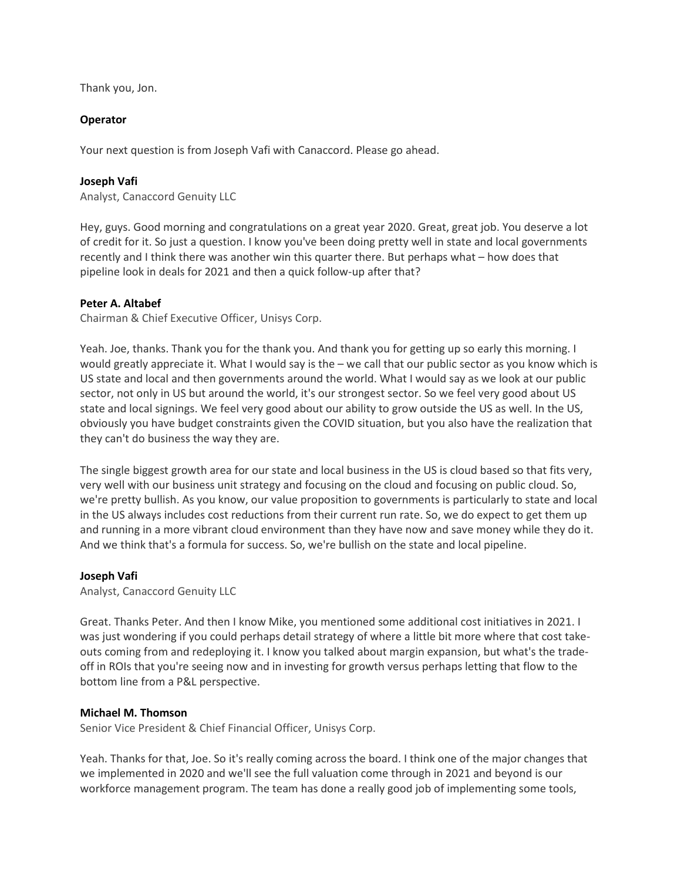Thank you, Jon.

# **Operator**

Your next question is from Joseph Vafi with Canaccord. Please go ahead.

# **[Joseph Vafi](javascript:void(0);)**

Analyst, Canaccord Genuity LLC

Hey, guys. Good morning and congratulations on a great year 2020. Great, great job. You deserve a lot of credit for it. So just a question. I know you've been doing pretty well in state and local governments recently and I think there was another win this quarter there. But perhaps what – how does that pipeline look in deals for 2021 and then a quick follow-up after that?

# **[Peter A. Altabef](javascript:void(0);)**

Chairman & Chief Executive Officer, Unisys Corp.

Yeah. Joe, thanks. Thank you for the thank you. And thank you for getting up so early this morning. I would greatly appreciate it. What I would say is the – we call that our public sector as you know which is US state and local and then governments around the world. What I would say as we look at our public sector, not only in US but around the world, it's our strongest sector. So we feel very good about US state and local signings. We feel very good about our ability to grow outside the US as well. In the US, obviously you have budget constraints given the COVID situation, but you also have the realization that they can't do business the way they are.

The single biggest growth area for our state and local business in the US is cloud based so that fits very, very well with our business unit strategy and focusing on the cloud and focusing on public cloud. So, we're pretty bullish. As you know, our value proposition to governments is particularly to state and local in the US always includes cost reductions from their current run rate. So, we do expect to get them up and running in a more vibrant cloud environment than they have now and save money while they do it. And we think that's a formula for success. So, we're bullish on the state and local pipeline.

## **[Joseph Vafi](javascript:void(0);)**

Analyst, Canaccord Genuity LLC

Great. Thanks Peter. And then I know Mike, you mentioned some additional cost initiatives in 2021. I was just wondering if you could perhaps detail strategy of where a little bit more where that cost takeouts coming from and redeploying it. I know you talked about margin expansion, but what's the tradeoff in ROIs that you're seeing now and in investing for growth versus perhaps letting that flow to the bottom line from a P&L perspective.

## **[Michael M. Thomson](javascript:void(0);)**

Senior Vice President & Chief Financial Officer, Unisys Corp.

Yeah. Thanks for that, Joe. So it's really coming across the board. I think one of the major changes that we implemented in 2020 and we'll see the full valuation come through in 2021 and beyond is our workforce management program. The team has done a really good job of implementing some tools,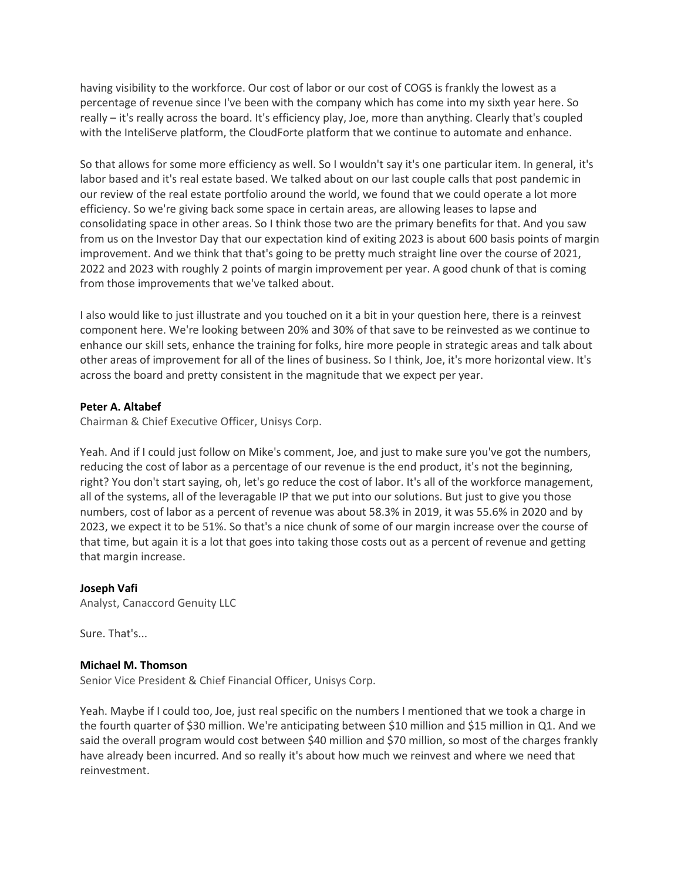having visibility to the workforce. Our cost of labor or our cost of COGS is frankly the lowest as a percentage of revenue since I've been with the company which has come into my sixth year here. So really – it's really across the board. It's efficiency play, Joe, more than anything. Clearly that's coupled with the InteliServe platform, the CloudForte platform that we continue to automate and enhance.

So that allows for some more efficiency as well. So I wouldn't say it's one particular item. In general, it's labor based and it's real estate based. We talked about on our last couple calls that post pandemic in our review of the real estate portfolio around the world, we found that we could operate a lot more efficiency. So we're giving back some space in certain areas, are allowing leases to lapse and consolidating space in other areas. So I think those two are the primary benefits for that. And you saw from us on the Investor Day that our expectation kind of exiting 2023 is about 600 basis points of margin improvement. And we think that that's going to be pretty much straight line over the course of 2021, 2022 and 2023 with roughly 2 points of margin improvement per year. A good chunk of that is coming from those improvements that we've talked about.

I also would like to just illustrate and you touched on it a bit in your question here, there is a reinvest component here. We're looking between 20% and 30% of that save to be reinvested as we continue to enhance our skill sets, enhance the training for folks, hire more people in strategic areas and talk about other areas of improvement for all of the lines of business. So I think, Joe, it's more horizontal view. It's across the board and pretty consistent in the magnitude that we expect per year.

## **[Peter A. Altabef](javascript:void(0);)**

Chairman & Chief Executive Officer, Unisys Corp.

Yeah. And if I could just follow on Mike's comment, Joe, and just to make sure you've got the numbers, reducing the cost of labor as a percentage of our revenue is the end product, it's not the beginning, right? You don't start saying, oh, let's go reduce the cost of labor. It's all of the workforce management, all of the systems, all of the leveragable IP that we put into our solutions. But just to give you those numbers, cost of labor as a percent of revenue was about 58.3% in 2019, it was 55.6% in 2020 and by 2023, we expect it to be 51%. So that's a nice chunk of some of our margin increase over the course of that time, but again it is a lot that goes into taking those costs out as a percent of revenue and getting that margin increase.

## **[Joseph Vafi](javascript:void(0);)**

Analyst, Canaccord Genuity LLC

Sure. That's...

#### **[Michael M. Thomson](javascript:void(0);)**

Senior Vice President & Chief Financial Officer, Unisys Corp.

Yeah. Maybe if I could too, Joe, just real specific on the numbers I mentioned that we took a charge in the fourth quarter of \$30 million. We're anticipating between \$10 million and \$15 million in Q1. And we said the overall program would cost between \$40 million and \$70 million, so most of the charges frankly have already been incurred. And so really it's about how much we reinvest and where we need that reinvestment.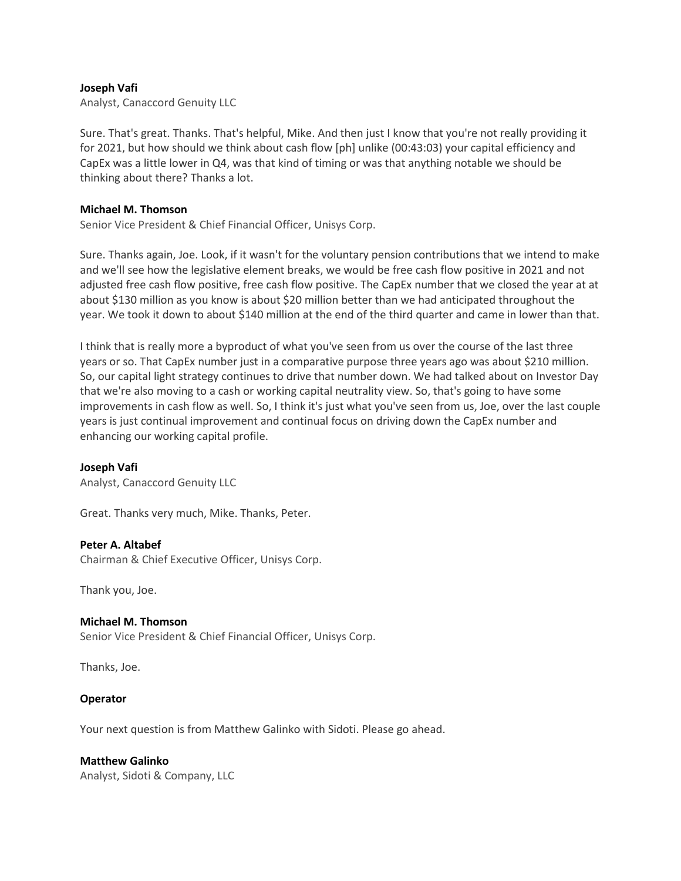### **[Joseph Vafi](javascript:void(0);)**

Analyst, Canaccord Genuity LLC

Sure. That's great. Thanks. That's helpful, Mike. And then just I know that you're not really providing it for 2021, but how should we think about cash flow [ph] unlike (00:43:03) your capital efficiency and CapEx was a little lower in Q4, was that kind of timing or was that anything notable we should be thinking about there? Thanks a lot.

#### **[Michael M. Thomson](javascript:void(0);)**

Senior Vice President & Chief Financial Officer, Unisys Corp.

Sure. Thanks again, Joe. Look, if it wasn't for the voluntary pension contributions that we intend to make and we'll see how the legislative element breaks, we would be free cash flow positive in 2021 and not adjusted free cash flow positive, free cash flow positive. The CapEx number that we closed the year at at about \$130 million as you know is about \$20 million better than we had anticipated throughout the year. We took it down to about \$140 million at the end of the third quarter and came in lower than that.

I think that is really more a byproduct of what you've seen from us over the course of the last three years or so. That CapEx number just in a comparative purpose three years ago was about \$210 million. So, our capital light strategy continues to drive that number down. We had talked about on Investor Day that we're also moving to a cash or working capital neutrality view. So, that's going to have some improvements in cash flow as well. So, I think it's just what you've seen from us, Joe, over the last couple years is just continual improvement and continual focus on driving down the CapEx number and enhancing our working capital profile.

#### **[Joseph Vafi](javascript:void(0);)**

Analyst, Canaccord Genuity LLC

Great. Thanks very much, Mike. Thanks, Peter.

#### **[Peter A. Altabef](javascript:void(0);)**

Chairman & Chief Executive Officer, Unisys Corp.

Thank you, Joe.

#### **[Michael M. Thomson](javascript:void(0);)**

Senior Vice President & Chief Financial Officer, Unisys Corp.

Thanks, Joe.

#### **Operator**

Your next question is from Matthew Galinko with Sidoti. Please go ahead.

#### **[Matthew Galinko](javascript:void(0);)**

Analyst, Sidoti & Company, LLC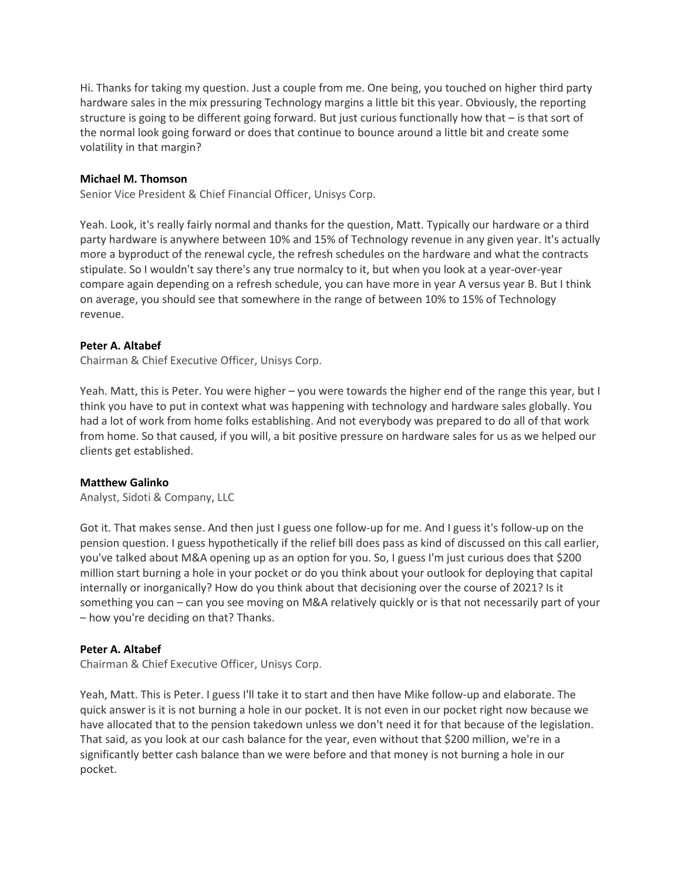Hi. Thanks for taking my question. Just a couple from me. One being, you touched on higher third party hardware sales in the mix pressuring Technology margins a little bit this year. Obviously, the reporting structure is going to be different going forward. But just curious functionally how that – is that sort of the normal look going forward or does that continue to bounce around a little bit and create some volatility in that margin?

#### **[Michael M. Thomson](javascript:void(0);)**

Senior Vice President & Chief Financial Officer, Unisys Corp.

Yeah. Look, it's really fairly normal and thanks for the question, Matt. Typically our hardware or a third party hardware is anywhere between 10% and 15% of Technology revenue in any given year. It's actually more a byproduct of the renewal cycle, the refresh schedules on the hardware and what the contracts stipulate. So I wouldn't say there's any true normalcy to it, but when you look at a year-over-year compare again depending on a refresh schedule, you can have more in year A versus year B. But I think on average, you should see that somewhere in the range of between 10% to 15% of Technology revenue.

### **[Peter A. Altabef](javascript:void(0);)**

Chairman & Chief Executive Officer, Unisys Corp.

Yeah. Matt, this is Peter. You were higher – you were towards the higher end of the range this year, but I think you have to put in context what was happening with technology and hardware sales globally. You had a lot of work from home folks establishing. And not everybody was prepared to do all of that work from home. So that caused, if you will, a bit positive pressure on hardware sales for us as we helped our clients get established.

#### **[Matthew Galinko](javascript:void(0);)**

Analyst, Sidoti & Company, LLC

Got it. That makes sense. And then just I guess one follow-up for me. And I guess it's follow-up on the pension question. I guess hypothetically if the relief bill does pass as kind of discussed on this call earlier, you've talked about M&A opening up as an option for you. So, I guess I'm just curious does that \$200 million start burning a hole in your pocket or do you think about your outlook for deploying that capital internally or inorganically? How do you think about that decisioning over the course of 2021? Is it something you can – can you see moving on M&A relatively quickly or is that not necessarily part of your – how you're deciding on that? Thanks.

## **[Peter A. Altabef](javascript:void(0);)**

Chairman & Chief Executive Officer, Unisys Corp.

Yeah, Matt. This is Peter. I guess I'll take it to start and then have Mike follow-up and elaborate. The quick answer is it is not burning a hole in our pocket. It is not even in our pocket right now because we have allocated that to the pension takedown unless we don't need it for that because of the legislation. That said, as you look at our cash balance for the year, even without that \$200 million, we're in a significantly better cash balance than we were before and that money is not burning a hole in our pocket.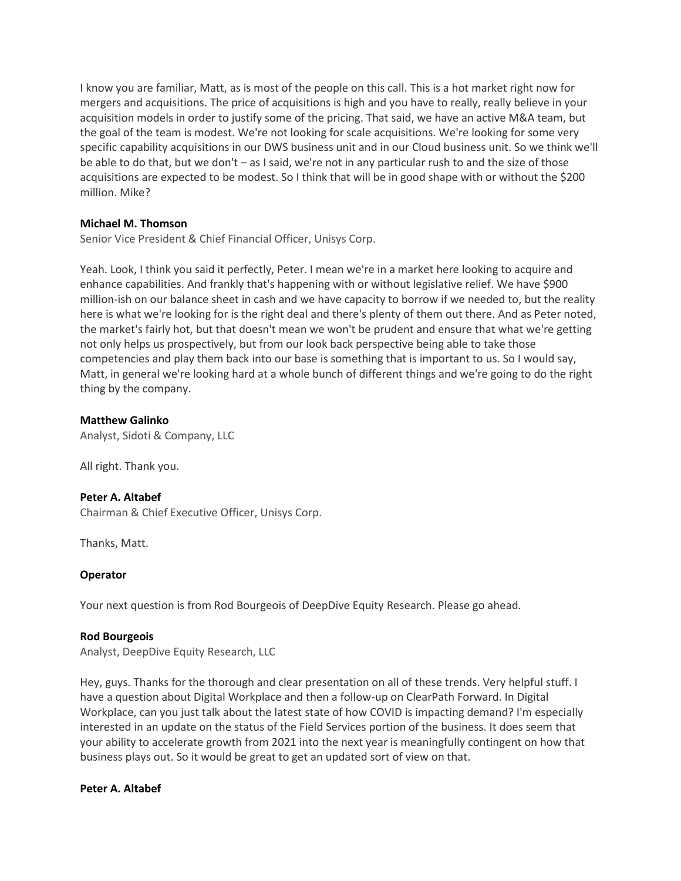I know you are familiar, Matt, as is most of the people on this call. This is a hot market right now for mergers and acquisitions. The price of acquisitions is high and you have to really, really believe in your acquisition models in order to justify some of the pricing. That said, we have an active M&A team, but the goal of the team is modest. We're not looking for scale acquisitions. We're looking for some very specific capability acquisitions in our DWS business unit and in our Cloud business unit. So we think we'll be able to do that, but we don't – as I said, we're not in any particular rush to and the size of those acquisitions are expected to be modest. So I think that will be in good shape with or without the \$200 million. Mike?

## **[Michael M. Thomson](javascript:void(0);)**

Senior Vice President & Chief Financial Officer, Unisys Corp.

Yeah. Look, I think you said it perfectly, Peter. I mean we're in a market here looking to acquire and enhance capabilities. And frankly that's happening with or without legislative relief. We have \$900 million-ish on our balance sheet in cash and we have capacity to borrow if we needed to, but the reality here is what we're looking for is the right deal and there's plenty of them out there. And as Peter noted, the market's fairly hot, but that doesn't mean we won't be prudent and ensure that what we're getting not only helps us prospectively, but from our look back perspective being able to take those competencies and play them back into our base is something that is important to us. So I would say, Matt, in general we're looking hard at a whole bunch of different things and we're going to do the right thing by the company.

### **[Matthew Galinko](javascript:void(0);)**

Analyst, Sidoti & Company, LLC

All right. Thank you.

## **[Peter A. Altabef](javascript:void(0);)**

Chairman & Chief Executive Officer, Unisys Corp.

Thanks, Matt.

#### **Operator**

Your next question is from Rod Bourgeois of DeepDive Equity Research. Please go ahead.

#### **[Rod Bourgeois](javascript:void(0);)**

Analyst, DeepDive Equity Research, LLC

Hey, guys. Thanks for the thorough and clear presentation on all of these trends. Very helpful stuff. I have a question about Digital Workplace and then a follow-up on ClearPath Forward. In Digital Workplace, can you just talk about the latest state of how COVID is impacting demand? I'm especially interested in an update on the status of the Field Services portion of the business. It does seem that your ability to accelerate growth from 2021 into the next year is meaningfully contingent on how that business plays out. So it would be great to get an updated sort of view on that.

# **[Peter A. Altabef](javascript:void(0);)**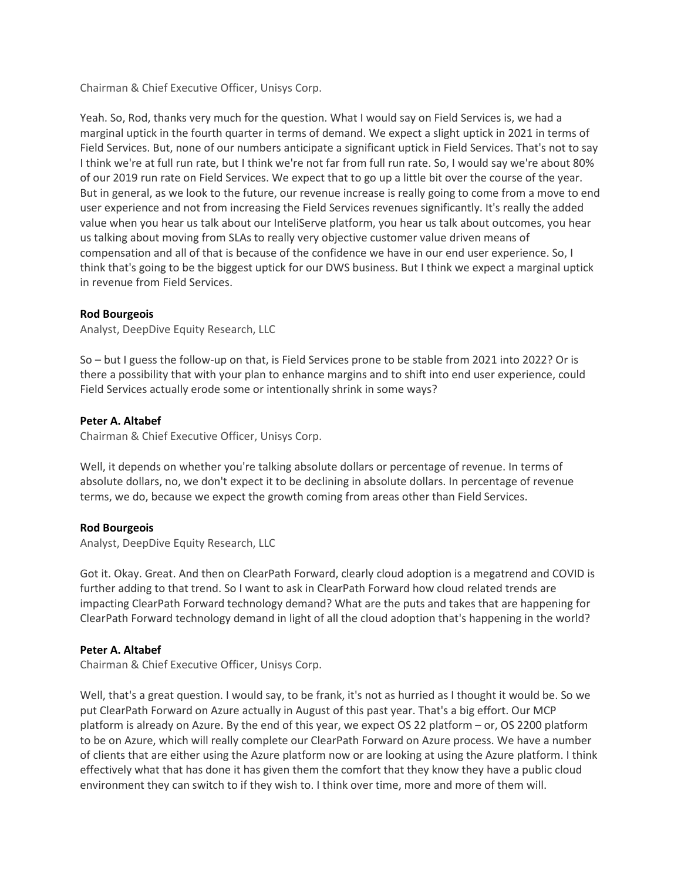Chairman & Chief Executive Officer, Unisys Corp.

Yeah. So, Rod, thanks very much for the question. What I would say on Field Services is, we had a marginal uptick in the fourth quarter in terms of demand. We expect a slight uptick in 2021 in terms of Field Services. But, none of our numbers anticipate a significant uptick in Field Services. That's not to say I think we're at full run rate, but I think we're not far from full run rate. So, I would say we're about 80% of our 2019 run rate on Field Services. We expect that to go up a little bit over the course of the year. But in general, as we look to the future, our revenue increase is really going to come from a move to end user experience and not from increasing the Field Services revenues significantly. It's really the added value when you hear us talk about our InteliServe platform, you hear us talk about outcomes, you hear us talking about moving from SLAs to really very objective customer value driven means of compensation and all of that is because of the confidence we have in our end user experience. So, I think that's going to be the biggest uptick for our DWS business. But I think we expect a marginal uptick in revenue from Field Services.

## **[Rod Bourgeois](javascript:void(0);)**

Analyst, DeepDive Equity Research, LLC

So – but I guess the follow-up on that, is Field Services prone to be stable from 2021 into 2022? Or is there a possibility that with your plan to enhance margins and to shift into end user experience, could Field Services actually erode some or intentionally shrink in some ways?

## **[Peter A. Altabef](javascript:void(0);)**

Chairman & Chief Executive Officer, Unisys Corp.

Well, it depends on whether you're talking absolute dollars or percentage of revenue. In terms of absolute dollars, no, we don't expect it to be declining in absolute dollars. In percentage of revenue terms, we do, because we expect the growth coming from areas other than Field Services.

#### **[Rod Bourgeois](javascript:void(0);)**

Analyst, DeepDive Equity Research, LLC

Got it. Okay. Great. And then on ClearPath Forward, clearly cloud adoption is a megatrend and COVID is further adding to that trend. So I want to ask in ClearPath Forward how cloud related trends are impacting ClearPath Forward technology demand? What are the puts and takes that are happening for ClearPath Forward technology demand in light of all the cloud adoption that's happening in the world?

## **[Peter A. Altabef](javascript:void(0);)**

Chairman & Chief Executive Officer, Unisys Corp.

Well, that's a great question. I would say, to be frank, it's not as hurried as I thought it would be. So we put ClearPath Forward on Azure actually in August of this past year. That's a big effort. Our MCP platform is already on Azure. By the end of this year, we expect OS 22 platform – or, OS 2200 platform to be on Azure, which will really complete our ClearPath Forward on Azure process. We have a number of clients that are either using the Azure platform now or are looking at using the Azure platform. I think effectively what that has done it has given them the comfort that they know they have a public cloud environment they can switch to if they wish to. I think over time, more and more of them will.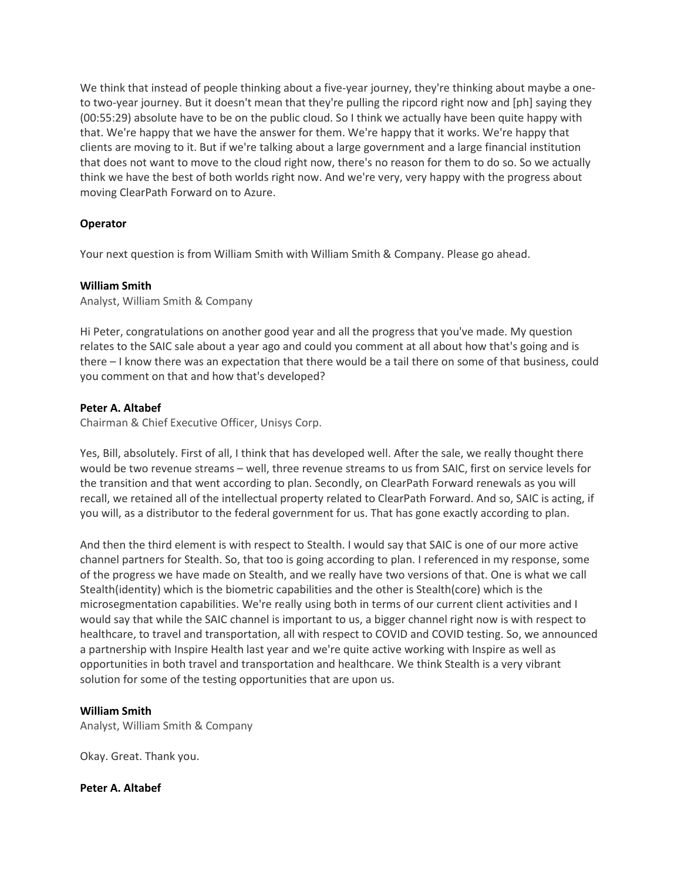We think that instead of people thinking about a five-year journey, they're thinking about maybe a oneto two-year journey. But it doesn't mean that they're pulling the ripcord right now and [ph] saying they (00:55:29) absolute have to be on the public cloud. So I think we actually have been quite happy with that. We're happy that we have the answer for them. We're happy that it works. We're happy that clients are moving to it. But if we're talking about a large government and a large financial institution that does not want to move to the cloud right now, there's no reason for them to do so. So we actually think we have the best of both worlds right now. And we're very, very happy with the progress about moving ClearPath Forward on to Azure.

# **Operator**

Your next question is from William Smith with William Smith & Company. Please go ahead.

### **[William Smith](javascript:void(0);)**

Analyst, William Smith & Company

Hi Peter, congratulations on another good year and all the progress that you've made. My question relates to the SAIC sale about a year ago and could you comment at all about how that's going and is there – I know there was an expectation that there would be a tail there on some of that business, could you comment on that and how that's developed?

## **[Peter A. Altabef](javascript:void(0);)**

Chairman & Chief Executive Officer, Unisys Corp.

Yes, Bill, absolutely. First of all, I think that has developed well. After the sale, we really thought there would be two revenue streams – well, three revenue streams to us from SAIC, first on service levels for the transition and that went according to plan. Secondly, on ClearPath Forward renewals as you will recall, we retained all of the intellectual property related to ClearPath Forward. And so, SAIC is acting, if you will, as a distributor to the federal government for us. That has gone exactly according to plan.

And then the third element is with respect to Stealth. I would say that SAIC is one of our more active channel partners for Stealth. So, that too is going according to plan. I referenced in my response, some of the progress we have made on Stealth, and we really have two versions of that. One is what we call Stealth(identity) which is the biometric capabilities and the other is Stealth(core) which is the microsegmentation capabilities. We're really using both in terms of our current client activities and I would say that while the SAIC channel is important to us, a bigger channel right now is with respect to healthcare, to travel and transportation, all with respect to COVID and COVID testing. So, we announced a partnership with Inspire Health last year and we're quite active working with Inspire as well as opportunities in both travel and transportation and healthcare. We think Stealth is a very vibrant solution for some of the testing opportunities that are upon us.

## **[William Smith](javascript:void(0);)**

Analyst, William Smith & Company

Okay. Great. Thank you.

#### **[Peter A. Altabef](javascript:void(0);)**